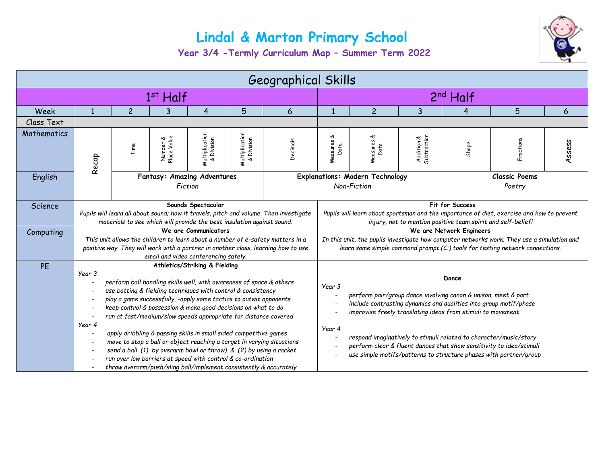## **Lindal & Marton Primary School**



**Year 3/4 -Termly Curriculum Map – Summer Term 2022**